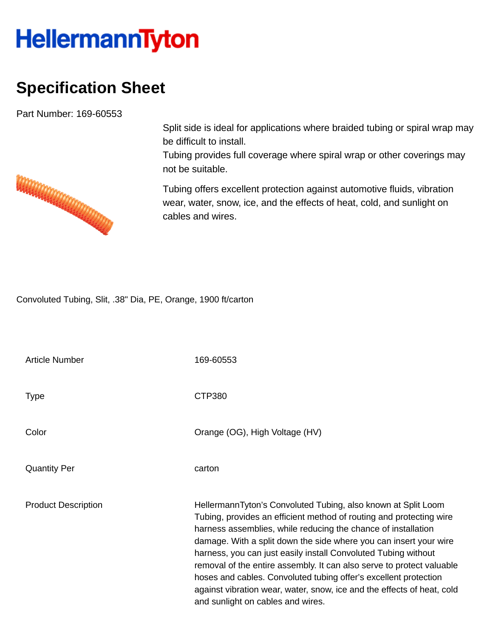## **HellermannTyton**

## **Specification Sheet**

Part Number: 169-60553

WWW.WWW.WWW



Tubing provides full coverage where spiral wrap or other coverings may not be suitable.

Tubing offers excellent protection against automotive fluids, vibration wear, water, snow, ice, and the effects of heat, cold, and sunlight on cables and wires.

Convoluted Tubing, Slit, .38" Dia, PE, Orange, 1900 ft/carton

| <b>Article Number</b>      | 169-60553                                                                                                                                                                                                                                                                                                                                                                                                                                                                                                                                                                                                |
|----------------------------|----------------------------------------------------------------------------------------------------------------------------------------------------------------------------------------------------------------------------------------------------------------------------------------------------------------------------------------------------------------------------------------------------------------------------------------------------------------------------------------------------------------------------------------------------------------------------------------------------------|
| Type                       | CTP380                                                                                                                                                                                                                                                                                                                                                                                                                                                                                                                                                                                                   |
| Color                      | Orange (OG), High Voltage (HV)                                                                                                                                                                                                                                                                                                                                                                                                                                                                                                                                                                           |
| <b>Quantity Per</b>        | carton                                                                                                                                                                                                                                                                                                                                                                                                                                                                                                                                                                                                   |
| <b>Product Description</b> | HellermannTyton's Convoluted Tubing, also known at Split Loom<br>Tubing, provides an efficient method of routing and protecting wire<br>harness assemblies, while reducing the chance of installation<br>damage. With a split down the side where you can insert your wire<br>harness, you can just easily install Convoluted Tubing without<br>removal of the entire assembly. It can also serve to protect valuable<br>hoses and cables. Convoluted tubing offer's excellent protection<br>against vibration wear, water, snow, ice and the effects of heat, cold<br>and sunlight on cables and wires. |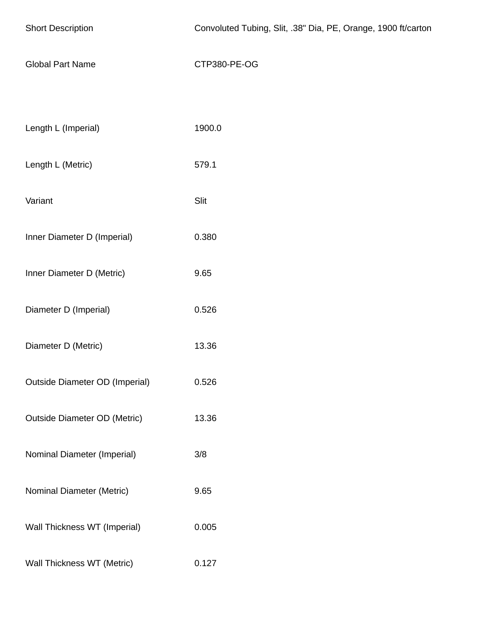| <b>Short Description</b>              | Convoluted Tubing, Slit, .38" Dia, PE, Orange, 1900 ft/carton |
|---------------------------------------|---------------------------------------------------------------|
| <b>Global Part Name</b>               | CTP380-PE-OG                                                  |
|                                       |                                                               |
| Length L (Imperial)                   | 1900.0                                                        |
| Length L (Metric)                     | 579.1                                                         |
| Variant                               | Slit                                                          |
| Inner Diameter D (Imperial)           | 0.380                                                         |
| Inner Diameter D (Metric)             | 9.65                                                          |
| Diameter D (Imperial)                 | 0.526                                                         |
| Diameter D (Metric)                   | 13.36                                                         |
| <b>Outside Diameter OD (Imperial)</b> | 0.526                                                         |
| <b>Outside Diameter OD (Metric)</b>   | 13.36                                                         |
| Nominal Diameter (Imperial)           | 3/8                                                           |
| Nominal Diameter (Metric)             | 9.65                                                          |
| Wall Thickness WT (Imperial)          | 0.005                                                         |
| Wall Thickness WT (Metric)            | 0.127                                                         |